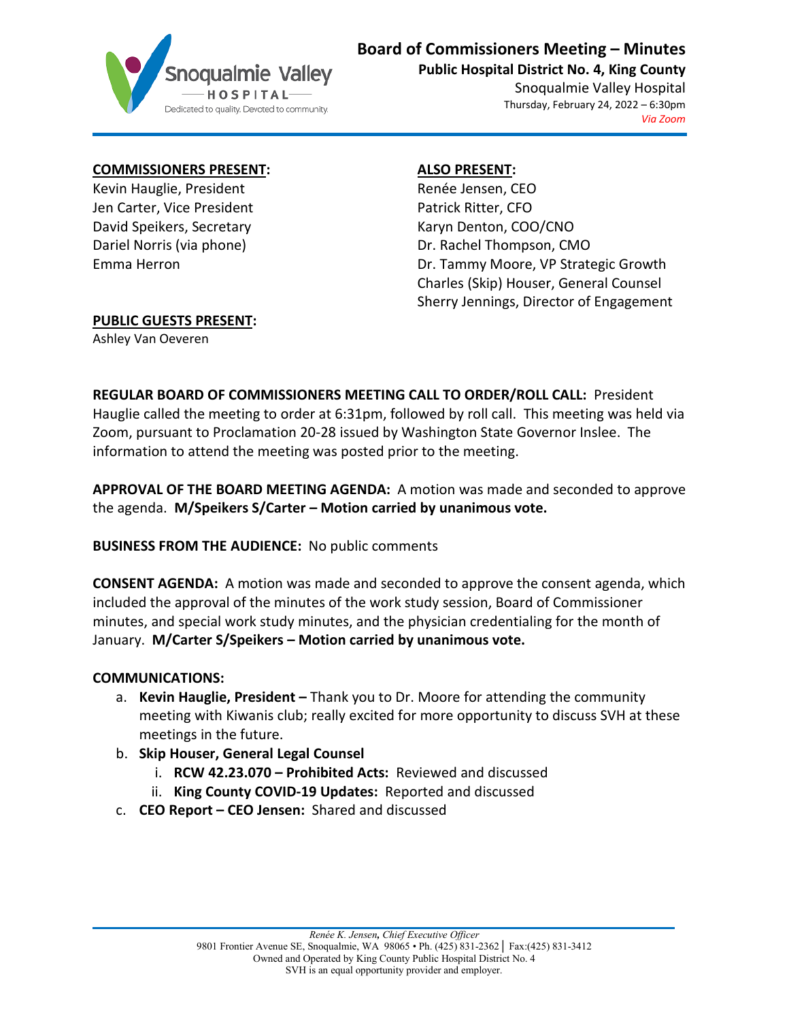

# **Board of Commissioners Meeting – Minutes**

**Public Hospital District No. 4, King County**

Snoqualmie Valley Hospital Thursday, February 24, 2022 – 6:30pm *Via Zoom*

### **COMMISSIONERS PRESENT:**

Kevin Hauglie, President Jen Carter, Vice President David Speikers, Secretary Dariel Norris (via phone) Emma Herron

# **ALSO PRESENT:**

Renée Jensen, CEO Patrick Ritter, CFO Karyn Denton, COO/CNO Dr. Rachel Thompson, CMO Dr. Tammy Moore, VP Strategic Growth Charles (Skip) Houser, General Counsel Sherry Jennings, Director of Engagement

# **PUBLIC GUESTS PRESENT:**

Ashley Van Oeveren

**REGULAR BOARD OF COMMISSIONERS MEETING CALL TO ORDER/ROLL CALL:** President Hauglie called the meeting to order at 6:31pm, followed by roll call. This meeting was held via Zoom, pursuant to Proclamation 20-28 issued by Washington State Governor Inslee. The information to attend the meeting was posted prior to the meeting.

**APPROVAL OF THE BOARD MEETING AGENDA:** A motion was made and seconded to approve the agenda. **M/Speikers S/Carter – Motion carried by unanimous vote.**

### **BUSINESS FROM THE AUDIENCE:** No public comments

**CONSENT AGENDA:** A motion was made and seconded to approve the consent agenda, which included the approval of the minutes of the work study session, Board of Commissioner minutes, and special work study minutes, and the physician credentialing for the month of January. **M/Carter S/Speikers – Motion carried by unanimous vote.**

### **COMMUNICATIONS:**

- a. **Kevin Hauglie, President –** Thank you to Dr. Moore for attending the community meeting with Kiwanis club; really excited for more opportunity to discuss SVH at these meetings in the future.
- b. **Skip Houser, General Legal Counsel**
	- i. **RCW 42.23.070 – Prohibited Acts:** Reviewed and discussed
	- ii. **King County COVID-19 Updates:** Reported and discussed
- c. **CEO Report – CEO Jensen:** Shared and discussed